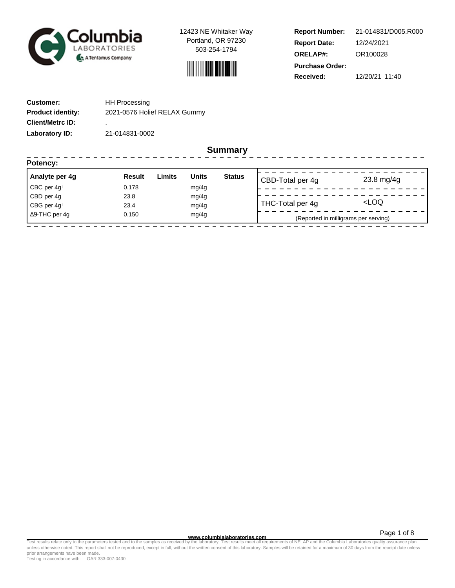

12423 NE Whitaker Way Portland, OR 97230 503-254-1794



**Report Number: Report Date: ORELAP#:** 12/24/2021 OR100028 **Received:** 12/20/21 11:40 **Purchase Order:** 21-014831/D005.R000

------------------

| <b>Customer:</b>         | <b>HH Processing</b>         |
|--------------------------|------------------------------|
| <b>Product identity:</b> | 2021-0576 Holief RELAX Gummy |
| <b>Client/Metrc ID:</b>  | ٠                            |
| Laboratory ID:           | 21-014831-0002               |

----------------

**Summary**

| Potency:                |               |        |              |               |                  |                                      |
|-------------------------|---------------|--------|--------------|---------------|------------------|--------------------------------------|
| Analyte per 4g          | <b>Result</b> | Limits | <b>Units</b> | <b>Status</b> | CBD-Total per 4g | $23.8 \text{ mg}/4g$                 |
| CBC per $4g†$           | 0.178         |        | mg/4g        |               |                  |                                      |
| CBD per 4g              | 23.8          |        | mg/4g        |               |                  |                                      |
| CBG per 4g <sup>t</sup> | 23.4          |        | mg/4g        |               | THC-Total per 4g | <loq< td=""></loq<>                  |
| $\Delta$ 9-THC per 4g   | 0.150         |        | mg/4g        |               |                  | (Reported in milligrams per serving) |

Page 1 of 8

www.columbialaboratories.com<br>Test results relate only to the parameters tested and to the samples as received by the laboratories metall requirements of NELAP and the Columbia Laboratories quality assurance plan<br>unless oth prior arrangements have been made.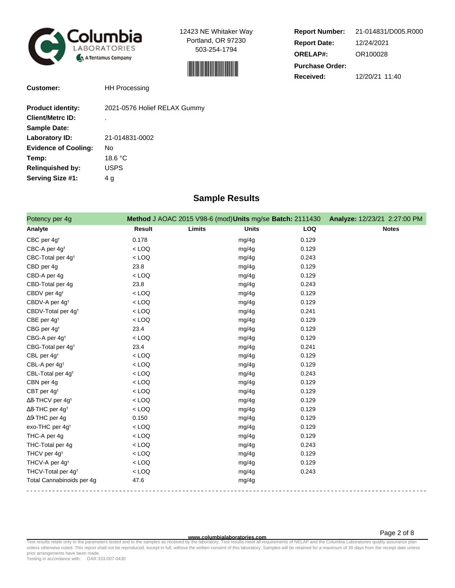

12423 NE Whitaker Way Portland, OR 97230 503-254-1794



| <b>Report Number:</b>  | 21-014831/D005.R000 |  |
|------------------------|---------------------|--|
| <b>Report Date:</b>    | 12/24/2021          |  |
| <b>ORELAP#:</b>        | OR100028            |  |
| <b>Purchase Order:</b> |                     |  |
| Received:              | 12/20/21 11:40      |  |

**Customer:** HH Processing

| <b>Product identity:</b>    | 2021-0576 Holief RELAX Gummy |
|-----------------------------|------------------------------|
| <b>Client/Metrc ID:</b>     | ٠                            |
| <b>Sample Date:</b>         |                              |
| Laboratory ID:              | 21-014831-0002               |
| <b>Evidence of Cooling:</b> | No                           |
| Temp:                       | 18.6 °C                      |
| <b>Relinquished by:</b>     | <b>USPS</b>                  |
| Serving Size #1:            | 4 g                          |

## **Sample Results**

| Potency per 4g                      |               | Method J AOAC 2015 V98-6 (mod) Units mg/se Batch: 2111430 |            | Analyze: 12/23/21 2:27:00 PM |
|-------------------------------------|---------------|-----------------------------------------------------------|------------|------------------------------|
| Analyte                             | <b>Result</b> | Limits<br><b>Units</b>                                    | <b>LOQ</b> | <b>Notes</b>                 |
| CBC per 4g <sup>+</sup>             | 0.178         | mg/4g                                                     | 0.129      |                              |
| CBC-A per 4g <sup>t</sup>           | $<$ LOQ       | mg/4g                                                     | 0.129      |                              |
| CBC-Total per 4g <sup>+</sup>       | $<$ LOQ       | mg/4g                                                     | 0.243      |                              |
| CBD per 4g                          | 23.8          | mg/4g                                                     | 0.129      |                              |
| CBD-A per 4g                        | $<$ LOQ       | mg/4g                                                     | 0.129      |                              |
| CBD-Total per 4g                    | 23.8          | mg/4g                                                     | 0.243      |                              |
| CBDV per 4g <sup>+</sup>            | $<$ LOQ       | mg/4g                                                     | 0.129      |                              |
| CBDV-A per 4g <sup>t</sup>          | $<$ LOQ       | mg/4g                                                     | 0.129      |                              |
| CBDV-Total per 4g <sup>+</sup>      | $<$ LOQ       | mg/4g                                                     | 0.241      |                              |
| CBE per 4g <sup>t</sup>             | $<$ LOQ       | mg/4g                                                     | 0.129      |                              |
| CBG per 4g <sup>+</sup>             | 23.4          | mg/4g                                                     | 0.129      |                              |
| CBG-A per 4g <sup>+</sup>           | $<$ LOQ       | mg/4g                                                     | 0.129      |                              |
| CBG-Total per 4g <sup>+</sup>       | 23.4          | mg/4g                                                     | 0.241      |                              |
| CBL per 4g <sup>t</sup>             | $<$ LOQ       | mg/4g                                                     | 0.129      |                              |
| CBL-A per 4g <sup>t</sup>           | $<$ LOQ       | mg/4g                                                     | 0.129      |                              |
| CBL-Total per 4g <sup>+</sup>       | $<$ LOQ       | mg/4g                                                     | 0.243      |                              |
| CBN per 4g                          | $<$ LOQ       | mg/4g                                                     | 0.129      |                              |
| CBT per 4g <sup>t</sup>             | $<$ LOQ       | mg/4g                                                     | 0.129      |                              |
| $\Delta$ 8-THCV per 4g <sup>+</sup> | $<$ LOQ       | mg/4g                                                     | 0.129      |                              |
| $\Delta$ 8-THC per 4g <sup>+</sup>  | $<$ LOQ       | mg/4g                                                     | 0.129      |                              |
| ∆9-THC per 4g                       | 0.150         | mg/4g                                                     | 0.129      |                              |
| exo-THC per 4g <sup>t</sup>         | $<$ LOQ       | mg/4g                                                     | 0.129      |                              |
| THC-A per 4g                        | $<$ LOQ       | mg/4g                                                     | 0.129      |                              |
| THC-Total per 4g                    | $<$ LOQ       | mg/4g                                                     | 0.243      |                              |
| THCV per 4g <sup>+</sup>            | $<$ LOQ       | mg/4g                                                     | 0.129      |                              |
| THCV-A per 4g <sup>+</sup>          | $<$ LOQ       | mg/4g                                                     | 0.129      |                              |
| THCV-Total per 4g <sup>+</sup>      | $<$ LOQ       | mg/4g                                                     | 0.243      |                              |
| Total Cannabinoids per 4g           | 47.6          | mg/4g                                                     |            |                              |

**WWW.columbialaboratories.com**<br>unless otherwise noted. This report shall not be reproduced, except in full, without the written consent of this laboratory. Samples will be retained for a maximum of 30 days from the receipt